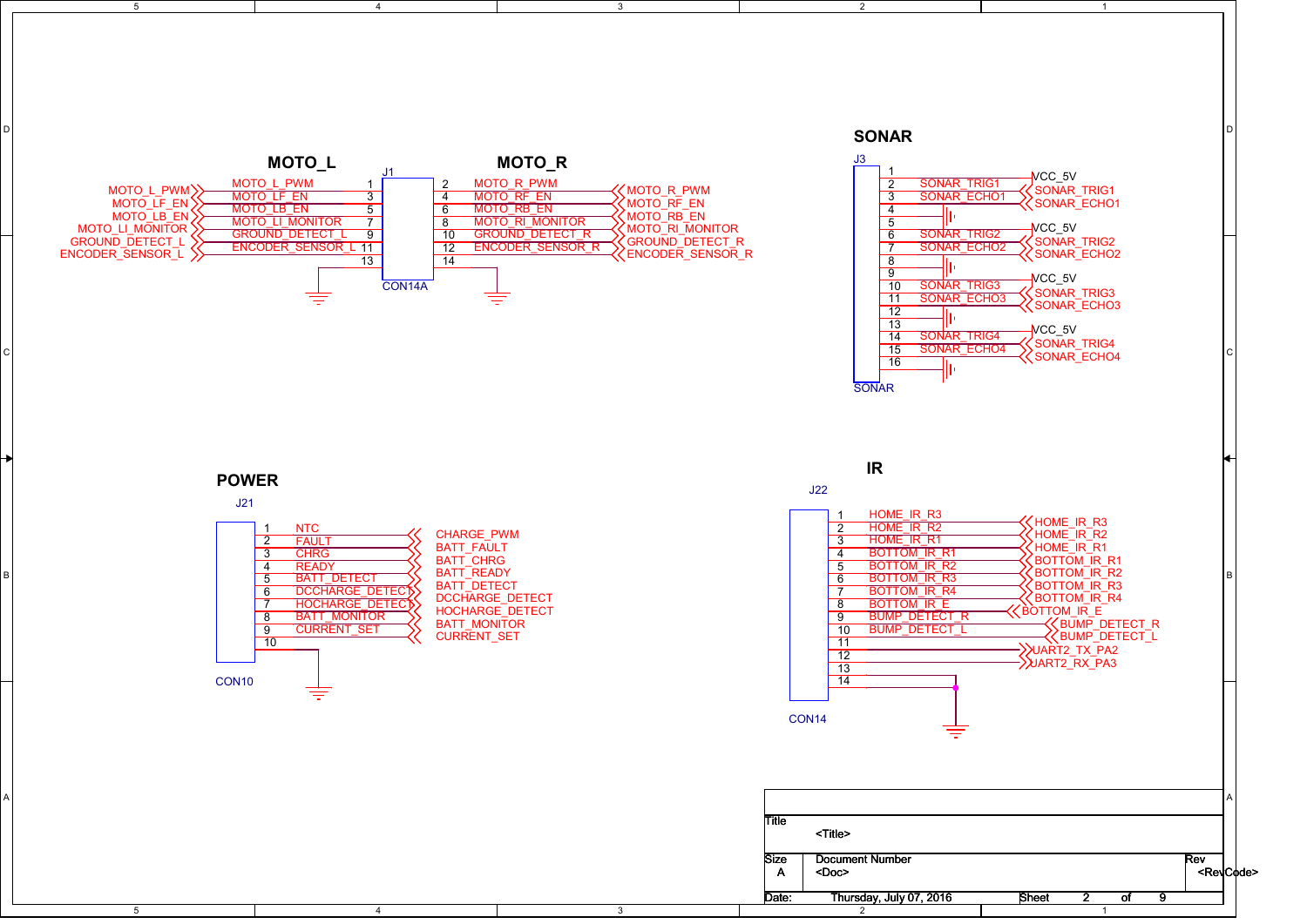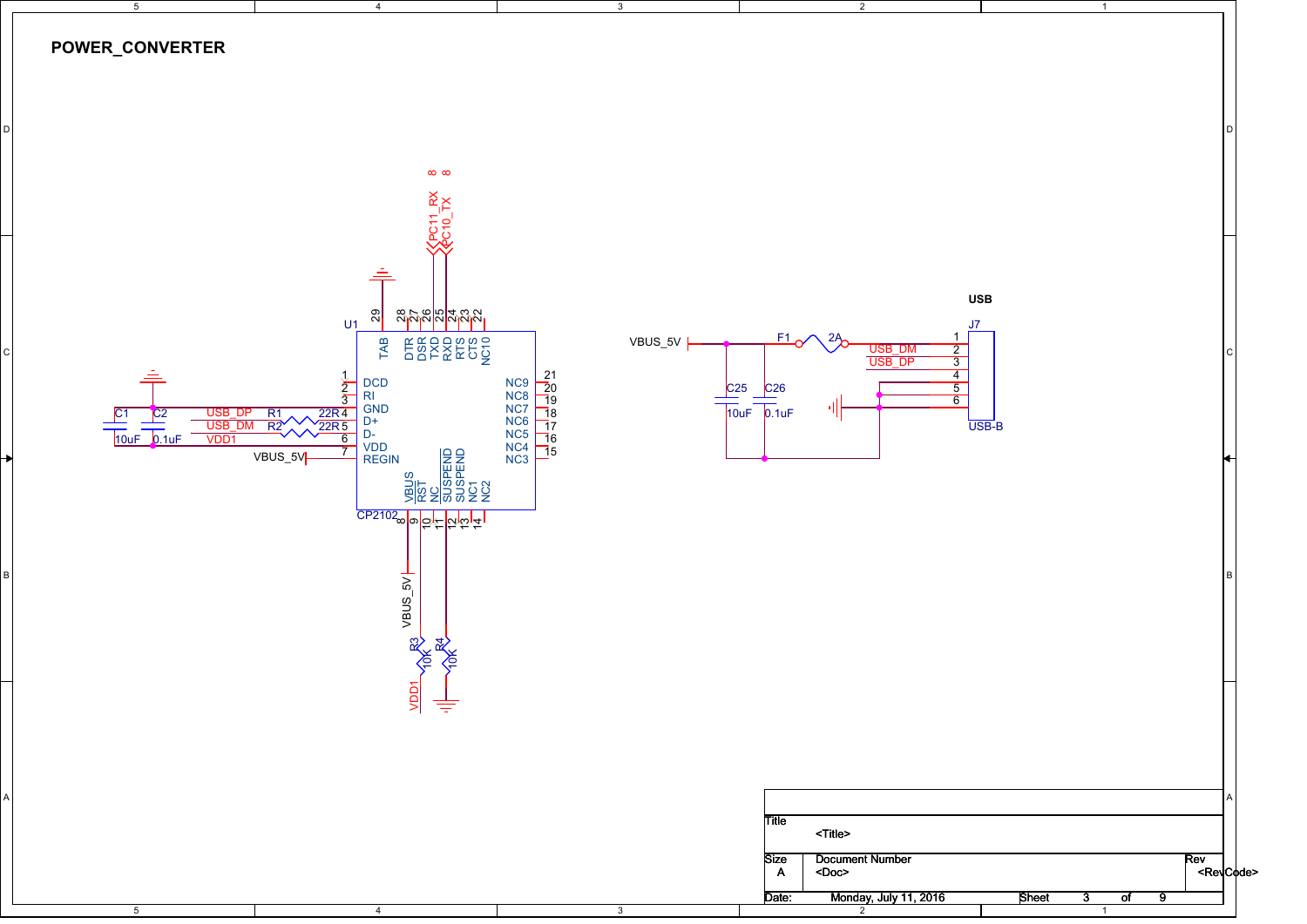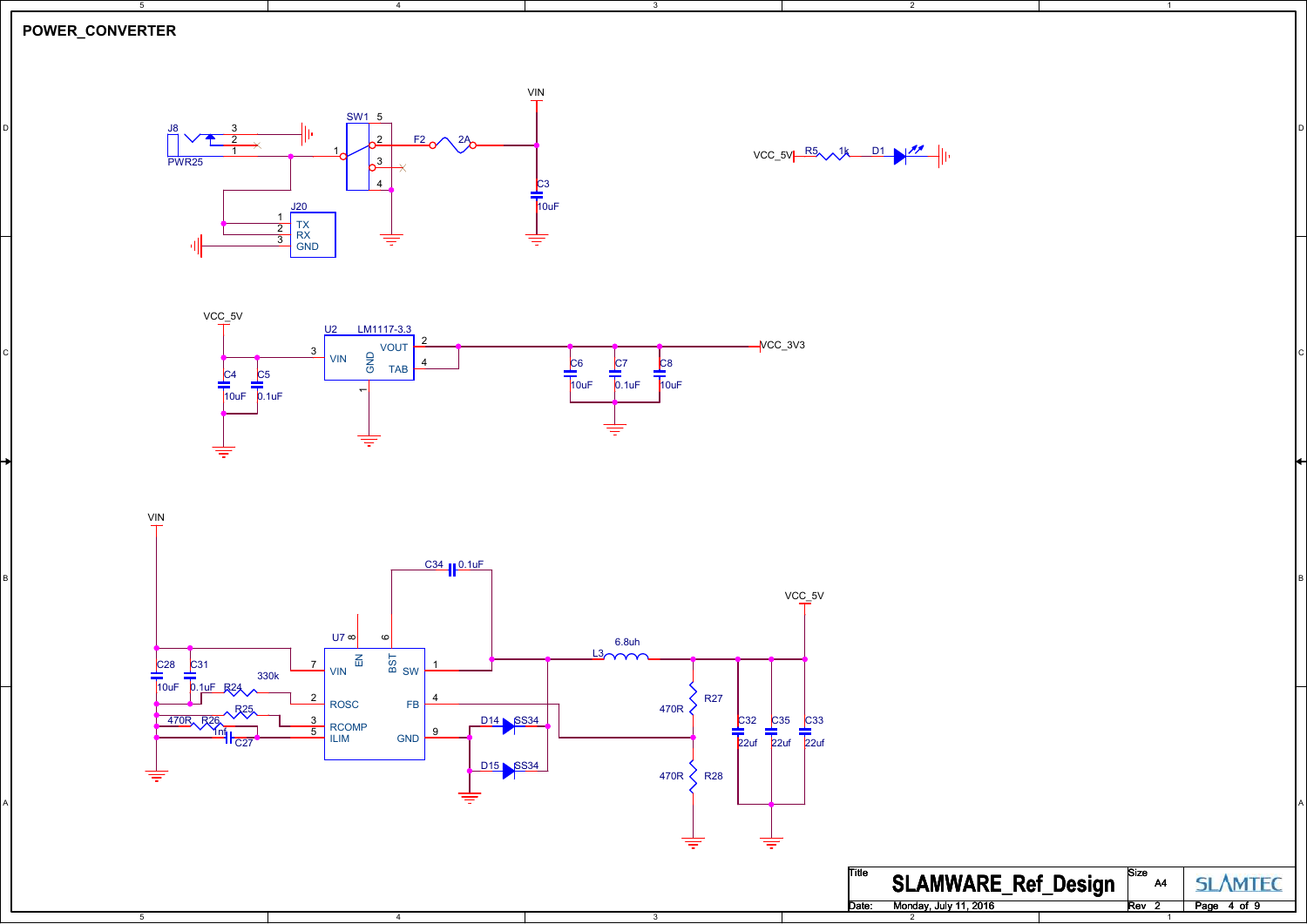## **POWER\_CONVERTER**

5

 $\overline{5}$ 



4



2

1



3

3



 $\overline{A}$ 

| Title | <b>SLAMWARE_Ref_Design</b> | Size | A4 | <b>SI AMTFO</b> |
|-------|----------------------------|------|----|-----------------|
| Date: | Monday, July 11, 2016      | Rev  |    | Page 4 of 9     |
|       |                            |      |    |                 |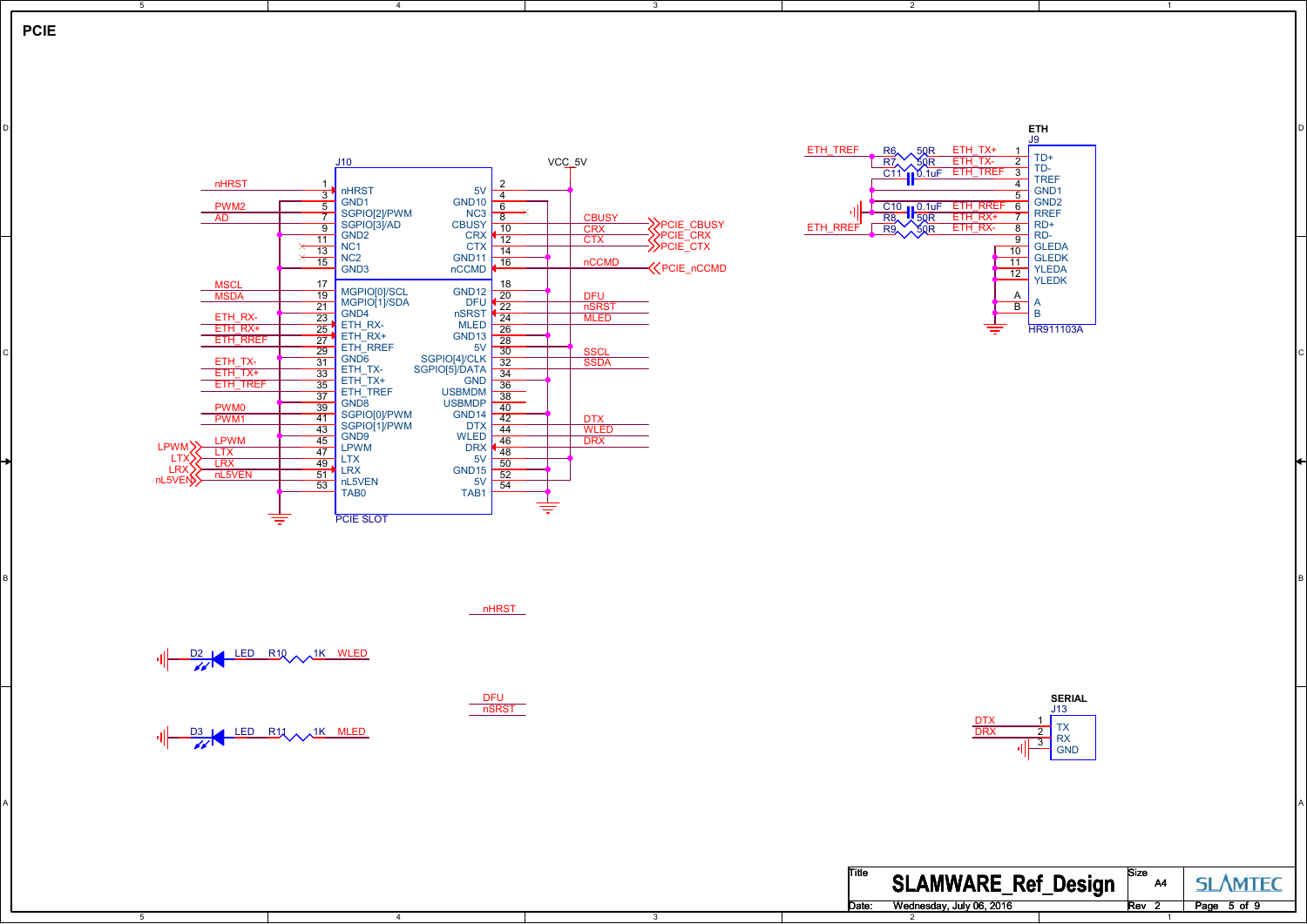

5



4

3

3

A POSTAGE AND THE CONTRACTOR CONTRACTOR CONTRACTOR CONTRACTOR CONTRACTOR CONTRACTOR CONTRACTOR CONTRACTOR CONTRACTOR

B I am a comparative contract that the contract of the contract of the contract of the contract of the contract of the contract of the contract of the contract of the contract of the contract of the contract of the contrac



 $\overline{2}$ 

1

nHRST

<u>DFU</u><br>nSRST

<u>D2 LED R10 A 1K WLED</u> 패

4



5



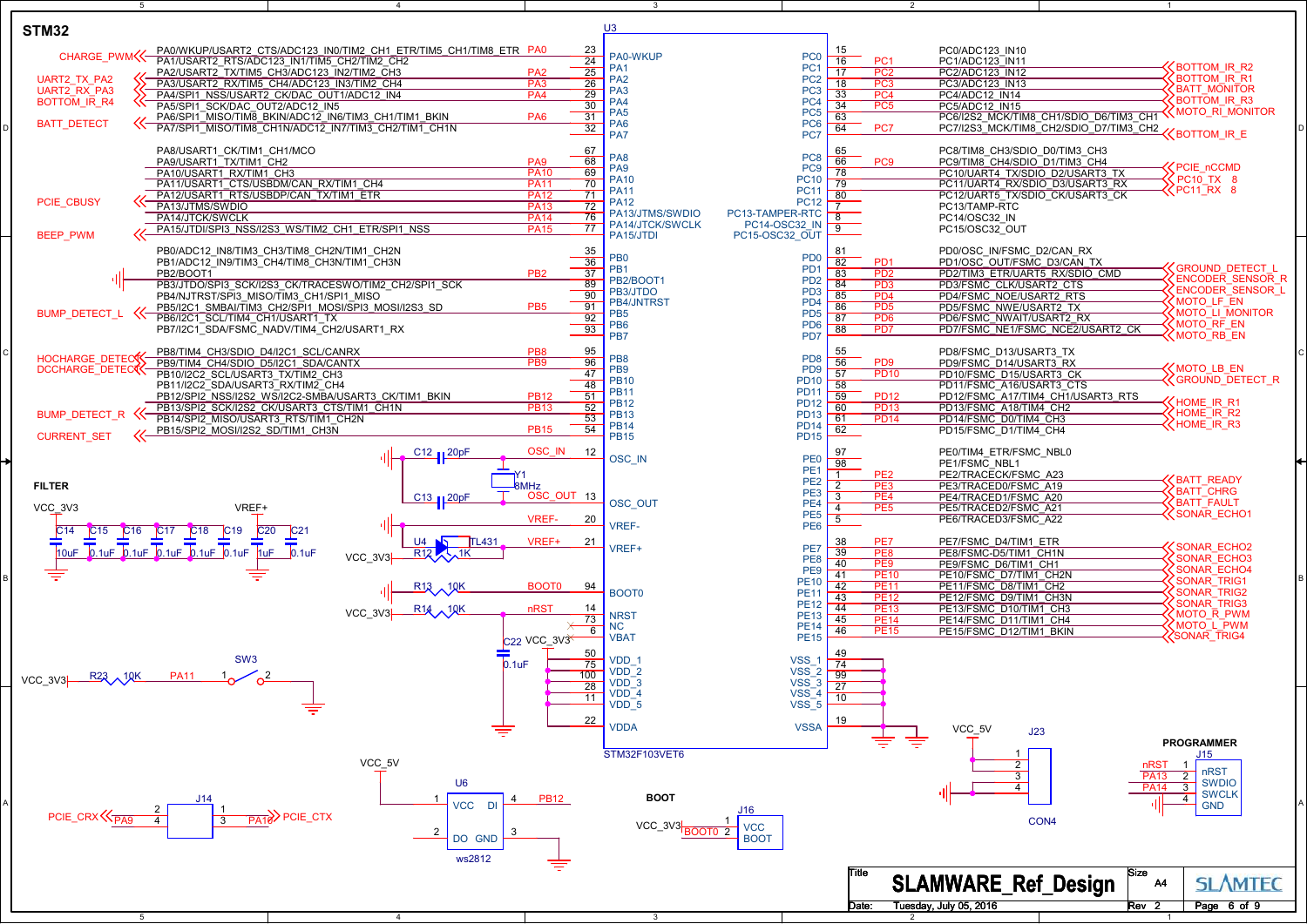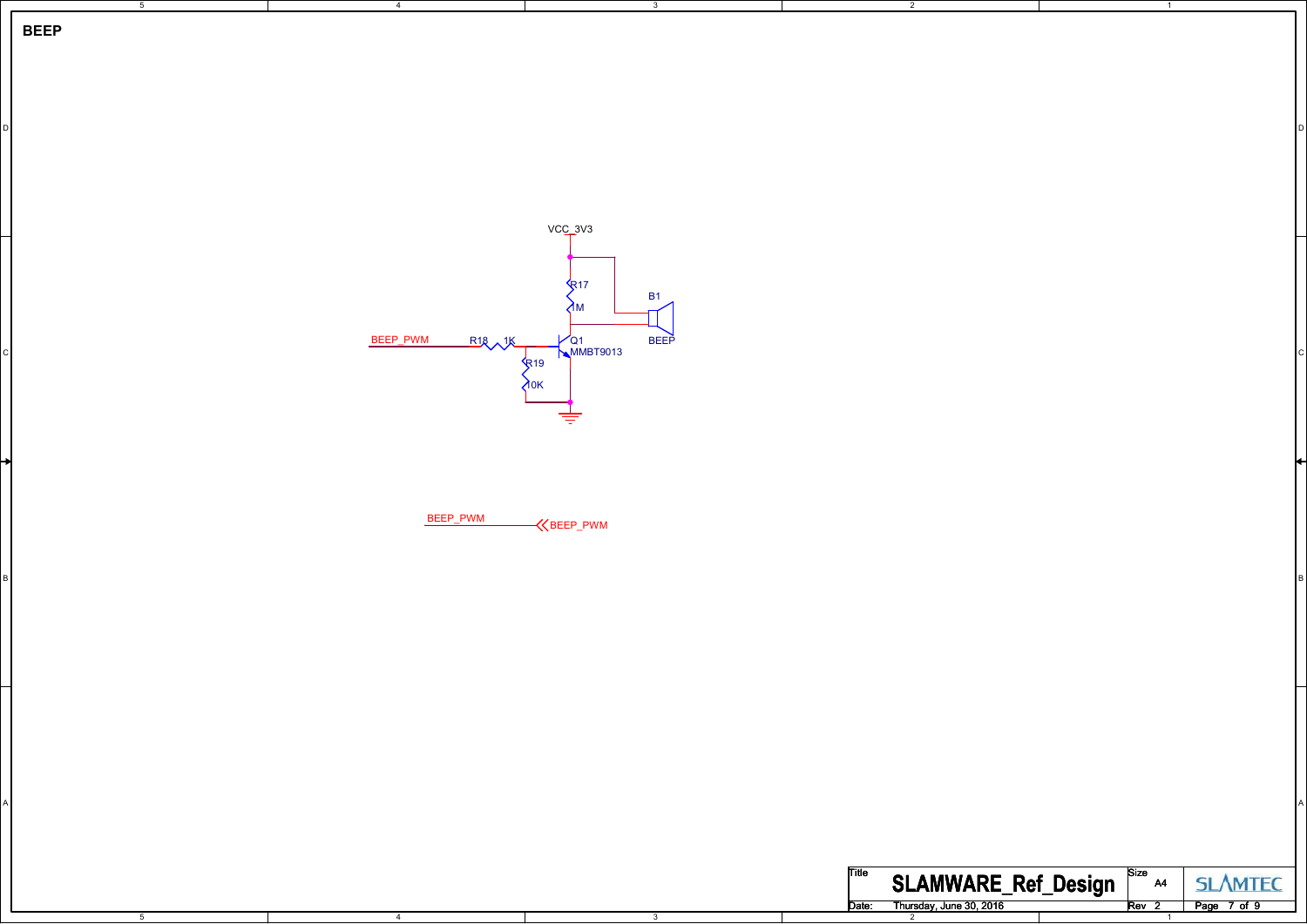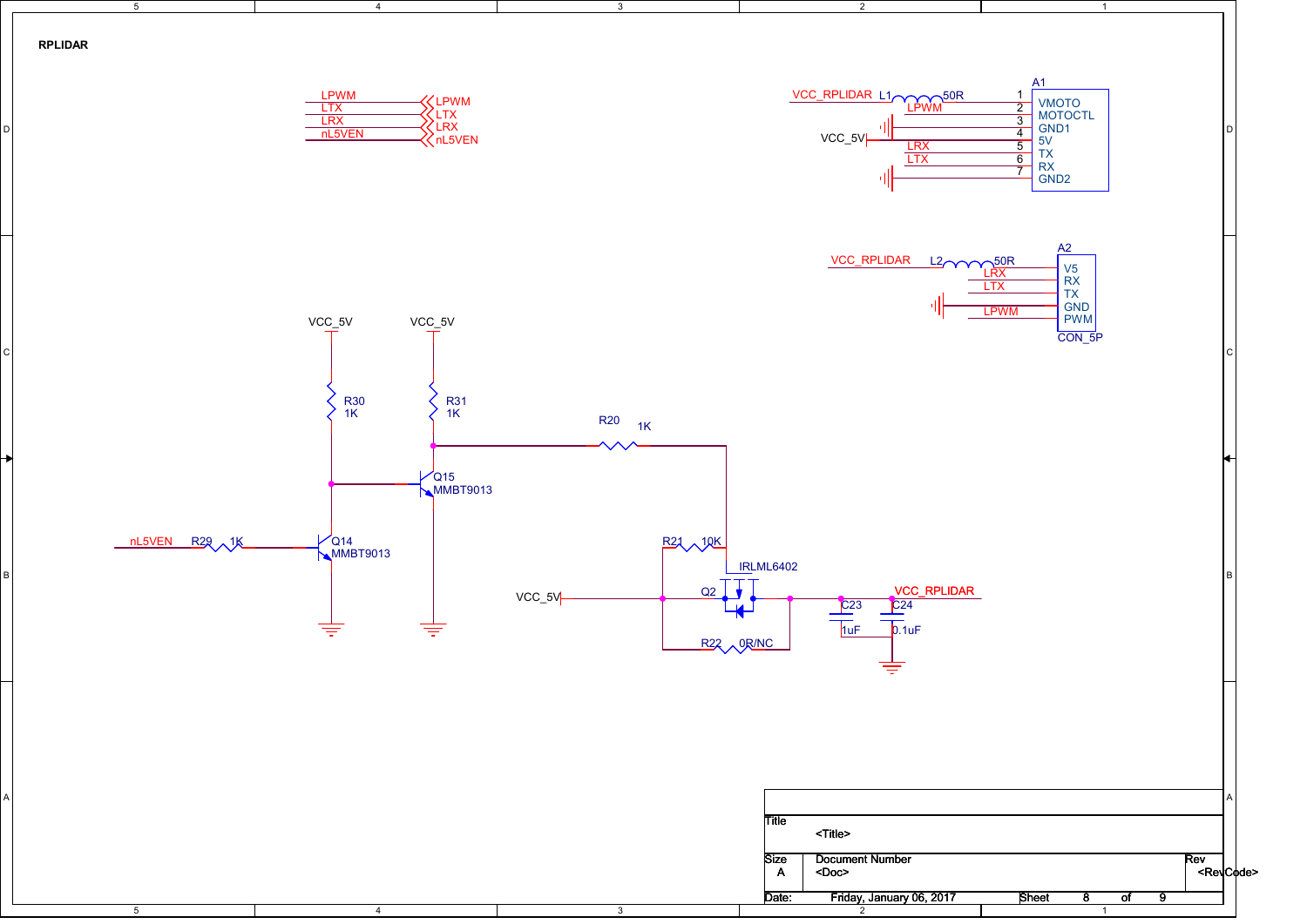